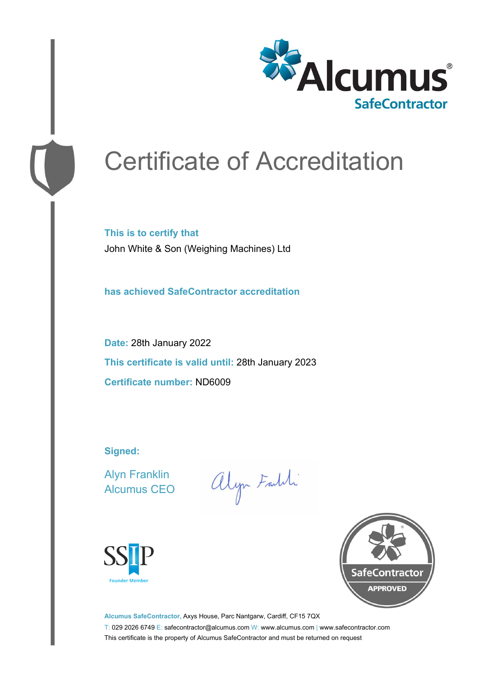

# Certificate of Accreditation

**This is to certify that** John White & Son (Weighing Machines) Ltd

**has achieved SafeContractor accreditation**

**Date:** 28th January 2022 **This certificate is valid until:** 28th January 2023 **Certificate number:** ND6009

**Signed:**

Alyn Franklin Alcumus CEO

alyn Faith





**Alcumus SafeContractor,** Axys House, Parc Nantgarw, Cardiff, CF15 7QX T: 029 2026 6749 E: safecontractor@alcumus.com W: www.alcumus.com | www.safecontractor.com This certificate is the property of Alcumus SafeContractor and must be returned on request